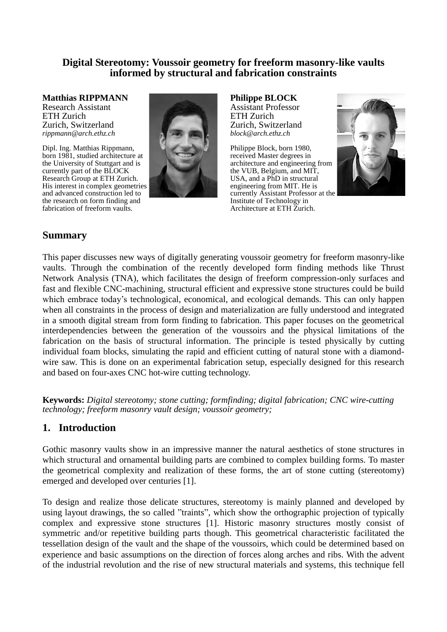### **Digital Stereotomy: Voussoir geometry for freeform masonry-like vaults informed by structural and fabrication constraints**

**Matthias RIPPMANN** Research Assistant ETH Zurich Zurich, Switzerland *rippmann@arch.ethz.ch*

Dipl. Ing. Matthias Rippmann, born 1981, studied architecture at the University of Stuttgart and is currently part of the BLOCK Research Group at ETH Zurich. His interest in complex geometries and advanced construction led to the research on form finding and fabrication of freeform vaults.



**Philippe BLOCK** Assistant Professor ETH Zurich Zurich, Switzerland *block@arch.ethz.ch*

Philippe Block, born 1980, received Master degrees in architecture and engineering from the VUB, Belgium, and MIT, USA, and a PhD in structural engineering from MIT. He is currently Assistant Professor at the Institute of Technology in Architecture at ETH Zurich.



# **Summary**

This paper discusses new ways of digitally generating voussoir geometry for freeform masonry-like vaults. Through the combination of the recently developed form finding methods like Thrust Network Analysis (TNA), which facilitates the design of freeform compression-only surfaces and fast and flexible CNC-machining, structural efficient and expressive stone structures could be build which embrace today's technological, economical, and ecological demands. This can only happen when all constraints in the process of design and materialization are fully understood and integrated in a smooth digital stream from form finding to fabrication. This paper focuses on the geometrical interdependencies between the generation of the voussoirs and the physical limitations of the fabrication on the basis of structural information. The principle is tested physically by cutting individual foam blocks, simulating the rapid and efficient cutting of natural stone with a diamondwire saw. This is done on an experimental fabrication setup, especially designed for this research and based on four-axes CNC hot-wire cutting technology.

**Keywords:** *Digital stereotomy; stone cutting; formfinding; digital fabrication; CNC wire-cutting technology; freeform masonry vault design; voussoir geometry;*

# **1. Introduction**

Gothic masonry vaults show in an impressive manner the natural aesthetics of stone structures in which structural and ornamental building parts are combined to complex building forms. To master the geometrical complexity and realization of these forms, the art of stone cutting (stereotomy) emerged and developed over centuries [\[1\].](#page-7-0)

To design and realize those delicate structures, stereotomy is mainly planned and developed by using layout drawings, the so called "traints", which show the orthographic projection of typically complex and expressive stone structures [\[1\].](#page-7-0) Historic masonry structures mostly consist of symmetric and/or repetitive building parts though. This geometrical characteristic facilitated the tessellation design of the vault and the shape of the voussoirs, which could be determined based on experience and basic assumptions on the direction of forces along arches and ribs. With the advent of the industrial revolution and the rise of new structural materials and systems, this technique fell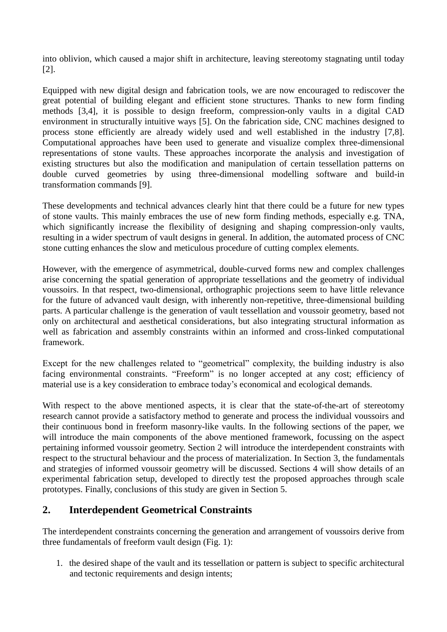into oblivion, which caused a major shift in architecture, leaving stereotomy stagnating until today [\[2\].](#page-7-1)

Equipped with new digital design and fabrication tools, we are now encouraged to rediscover the great potential of building elegant and efficient stone structures. Thanks to new form finding methods [3,4], it is possible to design freeform, compression-only vaults in a digital CAD environment in structurally intuitive ways [\[5\].](#page-7-2) On the fabrication side, CNC machines designed to process stone efficiently are already widely used and well established in the industry [7,8]. Computational approaches have been used to generate and visualize complex three-dimensional representations of stone vaults. These approaches incorporate the analysis and investigation of existing structures but also the modification and manipulation of certain tessellation patterns on double curved geometries by using three-dimensional modelling software and build-in transformation commands [\[9\].](#page-7-3)

These developments and technical advances clearly hint that there could be a future for new types of stone vaults. This mainly embraces the use of new form finding methods, especially e.g. TNA, which significantly increase the flexibility of designing and shaping compression-only vaults, resulting in a wider spectrum of vault designs in general. In addition, the automated process of CNC stone cutting enhances the slow and meticulous procedure of cutting complex elements.

However, with the emergence of asymmetrical, double-curved forms new and complex challenges arise concerning the spatial generation of appropriate tessellations and the geometry of individual voussoirs. In that respect, two-dimensional, orthographic projections seem to have little relevance for the future of advanced vault design, with inherently non-repetitive, three-dimensional building parts. A particular challenge is the generation of vault tessellation and voussoir geometry, based not only on architectural and aesthetical considerations, but also integrating structural information as well as fabrication and assembly constraints within an informed and cross-linked computational framework.

Except for the new challenges related to "geometrical" complexity, the building industry is also facing environmental constraints. "Freeform" is no longer accepted at any cost; efficiency of material use is a key consideration to embrace today's economical and ecological demands.

With respect to the above mentioned aspects, it is clear that the state-of-the-art of stereotomy research cannot provide a satisfactory method to generate and process the individual voussoirs and their continuous bond in freeform masonry-like vaults. In the following sections of the paper, we will introduce the main components of the above mentioned framework, focussing on the aspect pertaining informed voussoir geometry. Section [2](#page-1-0) will introduce the interdependent constraints with respect to the structural behaviour and the process of materialization. In Section [3,](#page-3-0) the fundamentals and strategies of informed voussoir geometry will be discussed. Sections [4](#page-5-0) will show details of an experimental fabrication setup, developed to directly test the proposed approaches through scale prototypes. Finally, conclusions of this study are given in Section [5.](#page-6-0)

# <span id="page-1-0"></span>**2. Interdependent Geometrical Constraints**

The interdependent constraints concerning the generation and arrangement of voussoirs derive from three fundamentals of freeform vault design (Fig. 1):

1. the desired shape of the vault and its tessellation or pattern is subject to specific architectural and tectonic requirements and design intents;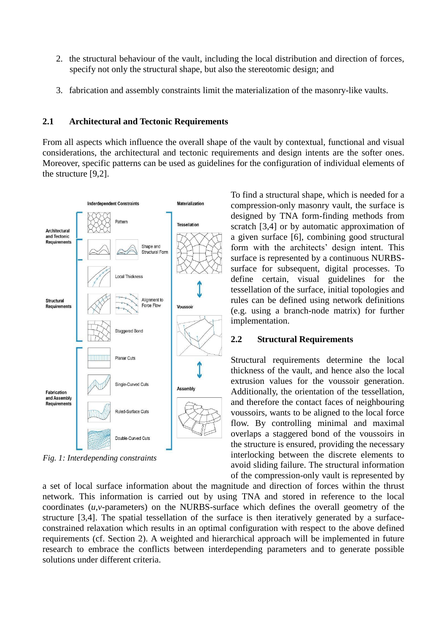- <span id="page-2-0"></span>2. the structural behaviour of the vault, including the local distribution and direction of forces, specify not only the structural shape, but also the stereotomic design; and
- 3. fabrication and assembly constraints limit the materialization of the masonry-like vaults.

#### **2.1 Architectural and Tectonic Requirements**

From all aspects which influence the overall shape of the vault by contextual, functional and visual considerations, the architectural and tectonic requirements and design intents are the softer ones. Moreover, specific patterns can be used as guidelines for the configuration of individual elements of the structure [9,2].



*Fig. 1: Interdepending constraints* 

To find a structural shape, which is needed for a compression-only masonry vault, the surface is designed by TNA form-finding methods from scratch [3,4] or by automatic approximation of a given surface [\[6\],](#page-7-4) combining good structural form with the architects' design intent. This surface is represented by a continuous NURBSsurface for subsequent, digital processes. To define certain, visual guidelines for the tessellation of the surface, initial topologies and rules can be defined using network definitions (e.g. using a branch-node matrix) for further implementation.

### **2.2 Structural Requirements**

Structural requirements determine the local thickness of the vault, and hence also the local extrusion values for the voussoir generation. Additionally, the orientation of the tessellation, and therefore the contact faces of neighbouring voussoirs, wants to be aligned to the local force flow. By controlling minimal and maximal overlaps a staggered bond of the voussoirs in the structure is ensured, providing the necessary interlocking between the discrete elements to avoid sliding failure. The structural information of the compression-only vault is represented by

a set of local surface information about the magnitude and direction of forces within the thrust network. This information is carried out by using TNA and stored in reference to the local coordinates (*u*,*v*-parameters) on the NURBS-surface which defines the overall geometry of the structure [3,4]. The spatial tessellation of the surface is then iteratively generated by a surfaceconstrained relaxation which results in an optimal configuration with respect to the above defined requirements (cf. Section [2\)](#page-2-0). A weighted and hierarchical approach will be implemented in future research to embrace the conflicts between interdepending parameters and to generate possible solutions under different criteria.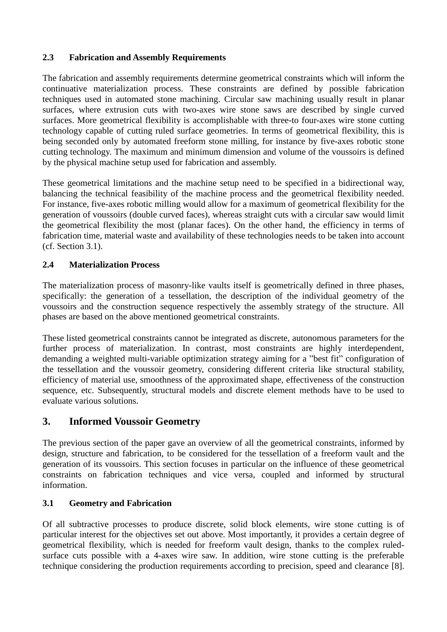### **2.3 Fabrication and Assembly Requirements**

The fabrication and assembly requirements determine geometrical constraints which will inform the continuative materialization process. These constraints are defined by possible fabrication techniques used in automated stone machining. Circular saw machining usually result in planar surfaces, where extrusion cuts with two-axes wire stone saws are described by single curved surfaces. More geometrical flexibility is accomplishable with three-to four-axes wire stone cutting technology capable of cutting ruled surface geometries. In terms of geometrical flexibility, this is being seconded only by automated freeform stone milling, for instance by five-axes robotic stone cutting technology. The maximum and minimum dimension and volume of the voussoirs is defined by the physical machine setup used for fabrication and assembly.

These geometrical limitations and the machine setup need to be specified in a bidirectional way, balancing the technical feasibility of the machine process and the geometrical flexibility needed. For instance, five-axes robotic milling would allow for a maximum of geometrical flexibility for the generation of voussoirs (double curved faces), whereas straight cuts with a circular saw would limit the geometrical flexibility the most (planar faces). On the other hand, the efficiency in terms of fabrication time, material waste and availability of these technologies needs to be taken into account (cf. Section [3.1\)](#page-3-1).

### **2.4 Materialization Process**

The materialization process of masonry-like vaults itself is geometrically defined in three phases, specifically: the generation of a tessellation, the description of the individual geometry of the voussoirs and the construction sequence respectively the assembly strategy of the structure. All phases are based on the above mentioned geometrical constraints.

These listed geometrical constraints cannot be integrated as discrete, autonomous parameters for the further process of materialization. In contrast, most constraints are highly interdependent, demanding a weighted multi-variable optimization strategy aiming for a "best fit" configuration of the tessellation and the voussoir geometry, considering different criteria like structural stability, efficiency of material use, smoothness of the approximated shape, effectiveness of the construction sequence, etc. Subsequently, structural models and discrete element methods have to be used to evaluate various solutions.

# <span id="page-3-0"></span>**3. Informed Voussoir Geometry**

The previous section of the paper gave an overview of all the geometrical constraints, informed by design, structure and fabrication, to be considered for the tessellation of a freeform vault and the generation of its voussoirs. This section focuses in particular on the influence of these geometrical constraints on fabrication techniques and vice versa, coupled and informed by structural information.

### <span id="page-3-1"></span>**3.1 Geometry and Fabrication**

Of all subtractive processes to produce discrete, solid block elements, wire stone cutting is of particular interest for the objectives set out above. Most importantly, it provides a certain degree of geometrical flexibility, which is needed for freeform vault design, thanks to the complex ruledsurface cuts possible with a 4-axes wire saw. In addition, wire stone cutting is the preferable technique considering the production requirements according to precision, speed and clearance [\[8\].](#page-7-5)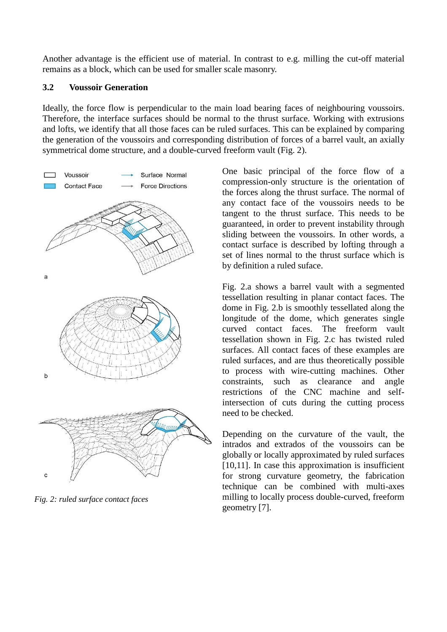Another advantage is the efficient use of material. In contrast to e.g. milling the cut-off material remains as a block, which can be used for smaller scale masonry.

#### **3.2 Voussoir Generation**

Ideally, the force flow is perpendicular to the main load bearing faces of neighbouring voussoirs. Therefore, the interface surfaces should be normal to the thrust surface. Working with extrusions and lofts, we identify that all those faces can be ruled surfaces. This can be explained by comparing the generation of the voussoirs and corresponding distribution of forces of a barrel vault, an axially symmetrical dome structure, and a double-curved freeform vault (Fig. 2).



*Fig. 2: ruled surface contact faces*

One basic principal of the force flow of a compression-only structure is the orientation of the forces along the thrust surface. The normal of any contact face of the voussoirs needs to be tangent to the thrust surface. This needs to be guaranteed, in order to prevent instability through sliding between the voussoirs. In other words, a contact surface is described by lofting through a set of lines normal to the thrust surface which is by definition a ruled suface.

Fig. 2.a shows a barrel vault with a segmented tessellation resulting in planar contact faces. The dome in Fig. 2.b is smoothly tessellated along the longitude of the dome, which generates single curved contact faces. The freeform vault tessellation shown in Fig. 2.c has twisted ruled surfaces. All contact faces of these examples are ruled surfaces, and are thus theoretically possible to process with wire-cutting machines. Other constraints, such as clearance and angle restrictions of the CNC machine and selfintersection of cuts during the cutting process need to be checked.

Depending on the curvature of the vault, the intrados and extrados of the voussoirs can be globally or locally approximated by ruled surfaces [10,11]. In case this approximation is insufficient for strong curvature geometry, the fabrication technique can be combined with multi-axes milling to locally process double-curved, freeform geometry [\[7\].](#page-7-6)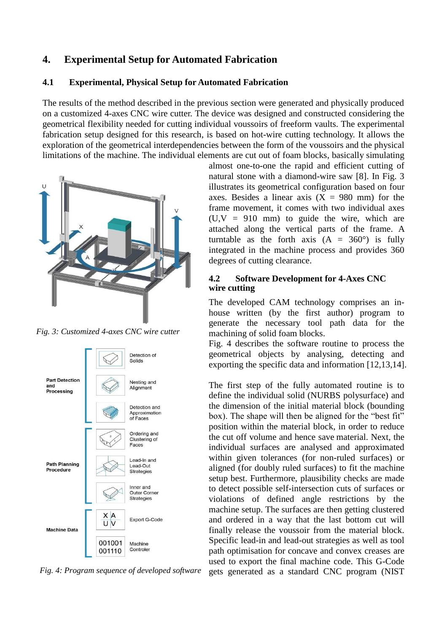# <span id="page-5-0"></span>**4. Experimental Setup for Automated Fabrication**

#### **4.1 Experimental, Physical Setup for Automated Fabrication**

The results of the method described in the previous section were generated and physically produced on a customized 4-axes CNC wire cutter. The device was designed and constructed considering the geometrical flexibility needed for cutting individual voussoirs of freeform vaults. The experimental fabrication setup designed for this research, is based on hot-wire cutting technology. It allows the exploration of the geometrical interdependencies between the form of the voussoirs and the physical limitations of the machine. The individual elements are cut out of foam blocks, basically simulating



*Fig. 3: Customized 4-axes CNC wire cutter*



*Fig. 4: Program sequence of developed software*

almost one-to-one the rapid and efficient cutting of natural stone with a diamond-wire saw [\[8\].](#page-7-5) In Fig. 3 illustrates its geometrical configuration based on four axes. Besides a linear axis  $(X = 980$  mm) for the frame movement, it comes with two individual axes  $(U,V = 910$  mm) to guide the wire, which are attached along the vertical parts of the frame. A turntable as the forth axis  $(A = 360^{\circ})$  is fully integrated in the machine process and provides 360 degrees of cutting clearance.

#### **4.2 Software Development for 4-Axes CNC wire cutting**

The developed CAM technology comprises an inhouse written (by the first author) program to generate the necessary tool path data for the machining of solid foam blocks.

Fig. 4 describes the software routine to process the geometrical objects by analysing, detecting and exporting the specific data and information [12,13,14].

The first step of the fully automated routine is to define the individual solid (NURBS polysurface) and the dimension of the initial material block (bounding box). The shape will then be aligned for the "best fit" position within the material block, in order to reduce the cut off volume and hence save material. Next, the individual surfaces are analysed and approximated within given tolerances (for non-ruled surfaces) or aligned (for doubly ruled surfaces) to fit the machine setup best. Furthermore, plausibility checks are made to detect possible self-intersection cuts of surfaces or violations of defined angle restrictions by the machine setup. The surfaces are then getting clustered and ordered in a way that the last bottom cut will finally release the voussoir from the material block. Specific lead-in and lead-out strategies as well as tool path optimisation for concave and convex creases are used to export the final machine code. This G-Code gets generated as a standard CNC program (NIST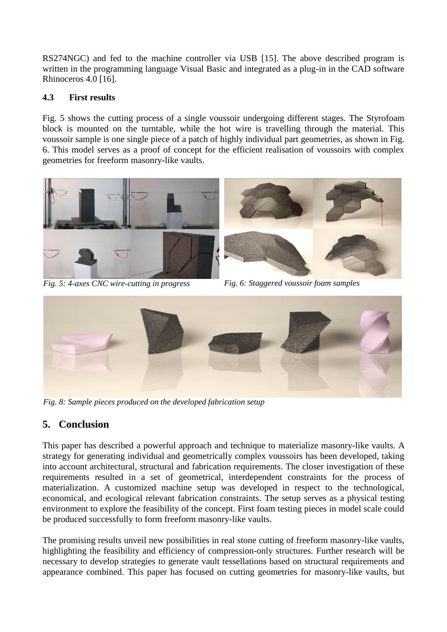RS274NGC) and fed to the machine controller via USB [\[15\].](#page-7-7) The above described program is written in the programming language Visual Basic and integrated as a plug-in in the CAD software Rhinoceros 4.0 [16].

#### **4.3 First results**

Fig. 5 shows the cutting process of a single voussoir undergoing different stages. The Styrofoam block is mounted on the turntable, while the hot wire is travelling through the material. This voussoir sample is one single piece of a patch of highly individual part geometries, as shown in Fig. 6. This model serves as a proof of concept for the efficient realisation of voussoirs with complex geometries for freeform masonry-like vaults.



*Fig. 5: 4-axes CNC wire-cutting in progress Fig. 6: Staggered voussoir foam samples*



*Fig. 8: Sample pieces produced on the developed fabrication setup*

# <span id="page-6-0"></span>**5. Conclusion**

This paper has described a powerful approach and technique to materialize masonry-like vaults. A strategy for generating individual and geometrically complex voussoirs has been developed, taking into account architectural, structural and fabrication requirements. The closer investigation of these requirements resulted in a set of geometrical, interdependent constraints for the process of materialization. A customized machine setup was developed in respect to the technological, economical, and ecological relevant fabrication constraints. The setup serves as a physical testing environment to explore the feasibility of the concept. First foam testing pieces in model scale could be produced successfully to form freeform masonry-like vaults.

The promising results unveil new possibilities in real stone cutting of freeform masonry-like vaults, highlighting the feasibility and efficiency of compression-only structures. Further research will be necessary to develop strategies to generate vault tessellations based on structural requirements and appearance combined. This paper has focused on cutting geometries for masonry-like vaults, but